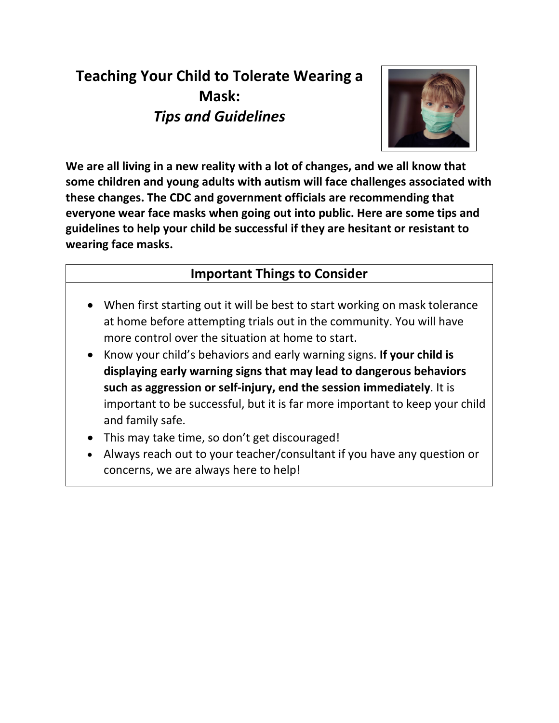# **Teaching Your Child to Tolerate Wearing a Mask:**  *Tips and Guidelines*



**We are all living in a new reality with a lot of changes, and we all know that some children and young adults with autism will face challenges associated with these changes. The CDC and government officials are recommending that everyone wear face masks when going out into public. Here are some tips and guidelines to help your child be successful if they are hesitant or resistant to wearing face masks.** 

### **Important Things to Consider**

- When first starting out it will be best to start working on mask tolerance at home before attempting trials out in the community. You will have more control over the situation at home to start.
- Know your child's behaviors and early warning signs. **If your child is displaying early warning signs that may lead to dangerous behaviors such as aggression or self-injury, end the session immediately**. It is important to be successful, but it is far more important to keep your child and family safe.
- This may take time, so don't get discouraged!
- Always reach out to your teacher/consultant if you have any question or concerns, we are always here to help!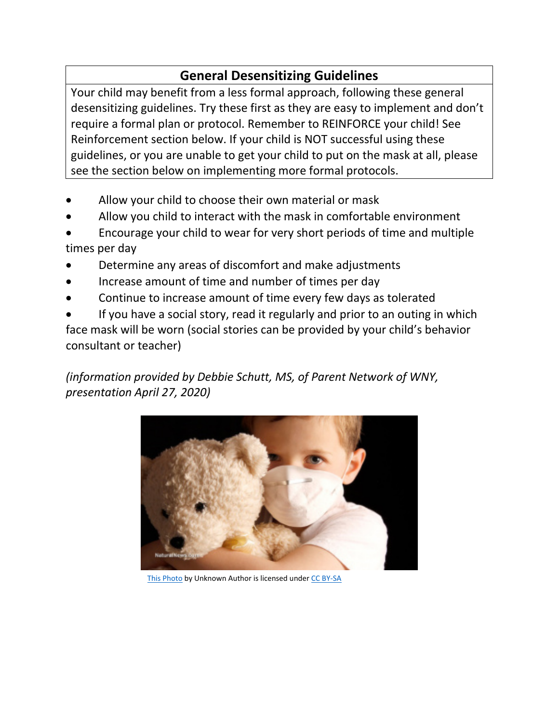# **General Desensitizing Guidelines**

Your child may benefit from a less formal approach, following these general desensitizing guidelines. Try these first as they are easy to implement and don't require a formal plan or protocol. Remember to REINFORCE your child! See Reinforcement section below. If your child is NOT successful using these guidelines, or you are unable to get your child to put on the mask at all, please see the section below on implementing more formal protocols.

- Allow your child to choose their own material or mask
- Allow you child to interact with the mask in comfortable environment
- Encourage your child to wear for very short periods of time and multiple times per day
- Determine any areas of discomfort and make adjustments
- Increase amount of time and number of times per day
- Continue to increase amount of time every few days as tolerated

If you have a social story, read it regularly and prior to an outing in which face mask will be worn (social stories can be provided by your child's behavior consultant or teacher)

*(information provided by Debbie Schutt, MS, of Parent Network of WNY, presentation April 27, 2020)* 



[This Photo](https://pumabydesign001.com/2015/02/23/media-parades-dead-children-as-victims-of-anti-vaxxers-despite-medical-facts-contradicting-the-narrative/) by Unknown Author is licensed unde[r CC BY-SA](https://creativecommons.org/licenses/by-sa/3.0/)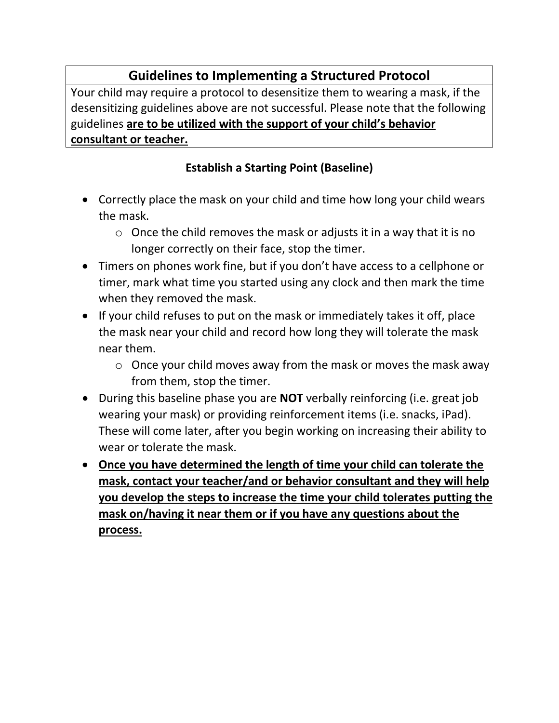## **Guidelines to Implementing a Structured Protocol**

Your child may require a protocol to desensitize them to wearing a mask, if the desensitizing guidelines above are not successful. Please note that the following guidelines **are to be utilized with the support of your child's behavior consultant or teacher.**

#### **Establish a Starting Point (Baseline)**

- Correctly place the mask on your child and time how long your child wears the mask.
	- o Once the child removes the mask or adjusts it in a way that it is no longer correctly on their face, stop the timer.
- Timers on phones work fine, but if you don't have access to a cellphone or timer, mark what time you started using any clock and then mark the time when they removed the mask.
- If your child refuses to put on the mask or immediately takes it off, place the mask near your child and record how long they will tolerate the mask near them.
	- o Once your child moves away from the mask or moves the mask away from them, stop the timer.
- During this baseline phase you are **NOT** verbally reinforcing (i.e. great job wearing your mask) or providing reinforcement items (i.e. snacks, iPad). These will come later, after you begin working on increasing their ability to wear or tolerate the mask.
- **Once you have determined the length of time your child can tolerate the mask, contact your teacher/and or behavior consultant and they will help you develop the steps to increase the time your child tolerates putting the mask on/having it near them or if you have any questions about the process.**